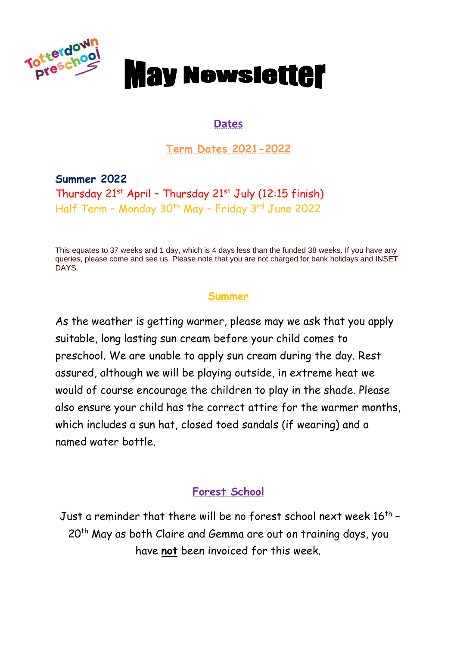

# **May Newsletter**

#### **Dates**

**Term Dates 2021-2022**

**Summer 2022** Thursday  $21^{st}$  April - Thursday  $21^{st}$  July (12:15 finish) Half Term - Monday 30<sup>th</sup> May - Friday 3<sup>rd</sup> June 2022

This equates to 37 weeks and 1 day, which is 4 days less than the funded 38 weeks. If you have any queries, please come and see us. Please note that you are not charged for bank holidays and INSET DAYS.

## **Summer**

As the weather is getting warmer, please may we ask that you apply suitable, long lasting sun cream before your child comes to preschool. We are unable to apply sun cream during the day. Rest assured, although we will be playing outside, in extreme heat we would of course encourage the children to play in the shade. Please also ensure your child has the correct attire for the warmer months, which includes a sun hat, closed toed sandals (if wearing) and a named water bottle.

## **Forest School**

Just a reminder that there will be no forest school next week  $16^\mathrm{th}$  – 20<sup>th</sup> May as both Claire and Gemma are out on training days, you have **not** been invoiced for this week.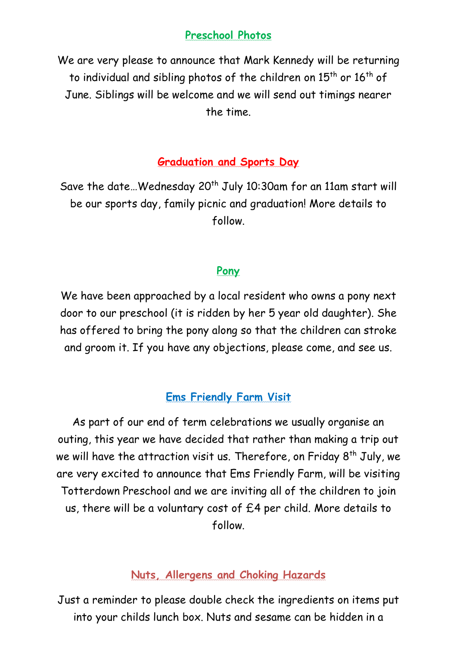### **Preschool Photos**

We are very please to announce that Mark Kennedy will be returning to individual and sibling photos of the children on  $15<sup>th</sup>$  or  $16<sup>th</sup>$  of June. Siblings will be welcome and we will send out timings nearer the time.

#### **Graduation and Sports Day**

Save the date... Wednesday 20<sup>th</sup> July 10:30am for an 11am start will be our sports day, family picnic and graduation! More details to follow.

#### **Pony**

We have been approached by a local resident who owns a pony next door to our preschool (it is ridden by her 5 year old daughter). She has offered to bring the pony along so that the children can stroke and groom it. If you have any objections, please come, and see us.

#### **Ems Friendly Farm Visit**

As part of our end of term celebrations we usually organise an outing, this year we have decided that rather than making a trip out we will have the attraction visit us. Therefore, on Friday  $8<sup>th</sup>$  July, we are very excited to announce that Ems Friendly Farm, will be visiting Totterdown Preschool and we are inviting all of the children to join us, there will be a voluntary cost of £4 per child. More details to follow.

#### **Nuts, Allergens and Choking Hazards**

Just a reminder to please double check the ingredients on items put into your childs lunch box. Nuts and sesame can be hidden in a